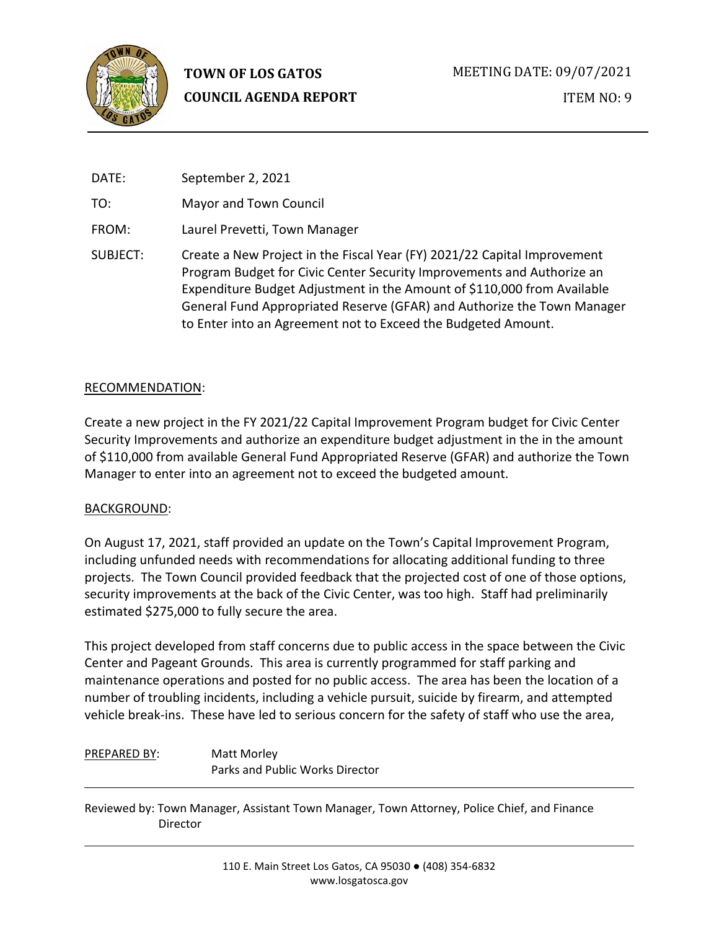

# **TOWN OF LOS GATOS COUNCIL AGENDA REPORT**

| DATE:    | September 2, 2021                                                                                                                                                                                                                                                                                                                                                         |
|----------|---------------------------------------------------------------------------------------------------------------------------------------------------------------------------------------------------------------------------------------------------------------------------------------------------------------------------------------------------------------------------|
| TO:      | Mayor and Town Council                                                                                                                                                                                                                                                                                                                                                    |
| FROM:    | Laurel Prevetti, Town Manager                                                                                                                                                                                                                                                                                                                                             |
| SUBJECT: | Create a New Project in the Fiscal Year (FY) 2021/22 Capital Improvement<br>Program Budget for Civic Center Security Improvements and Authorize an<br>Expenditure Budget Adjustment in the Amount of \$110,000 from Available<br>General Fund Appropriated Reserve (GFAR) and Authorize the Town Manager<br>to Enter into an Agreement not to Exceed the Budgeted Amount. |

## RECOMMENDATION:

Create a new project in the FY 2021/22 Capital Improvement Program budget for Civic Center Security Improvements and authorize an expenditure budget adjustment in the in the amount of \$110,000 from available General Fund Appropriated Reserve (GFAR) and authorize the Town Manager to enter into an agreement not to exceed the budgeted amount.

# BACKGROUND:

On August 17, 2021, staff provided an update on the Town's Capital Improvement Program, including unfunded needs with recommendations for allocating additional funding to three projects. The Town Council provided feedback that the projected cost of one of those options, security improvements at the back of the Civic Center, was too high. Staff had preliminarily estimated \$275,000 to fully secure the area.

This project developed from staff concerns due to public access in the space between the Civic Center and Pageant Grounds. This area is currently programmed for staff parking and maintenance operations and posted for no public access. The area has been the location of a number of troubling incidents, including a vehicle pursuit, suicide by firearm, and attempted vehicle break-ins. These have led to serious concern for the safety of staff who use the area,

# PREPARED BY: Matt Morley Parks and Public Works Director

Reviewed by: Town Manager, Assistant Town Manager, Town Attorney, Police Chief, and Finance Director